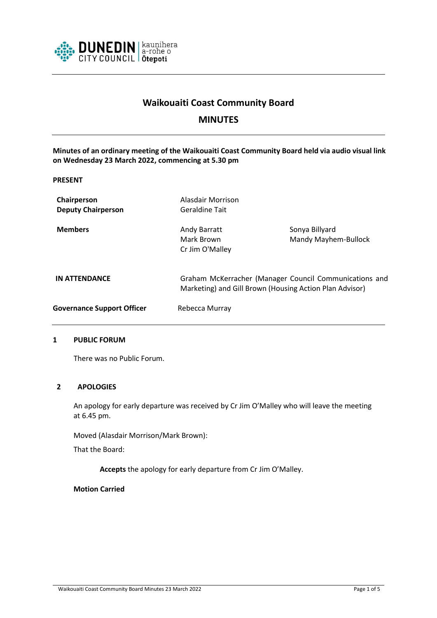

# **Waikouaiti Coast Community Board**

# **MINUTES**

**Minutes of an ordinary meeting of the Waikouaiti Coast Community Board held via audio visual link on Wednesday 23 March 2022, commencing at 5.30 pm**

**PRESENT**

| Chairperson<br><b>Deputy Chairperson</b> | Alasdair Morrison<br><b>Geraldine Tait</b>                                                                        |                                        |
|------------------------------------------|-------------------------------------------------------------------------------------------------------------------|----------------------------------------|
| <b>Members</b>                           | Andy Barratt<br>Mark Brown<br>Cr Jim O'Malley                                                                     | Sonya Billyard<br>Mandy Mayhem-Bullock |
| IN ATTENDANCE                            | Graham McKerracher (Manager Council Communications and<br>Marketing) and Gill Brown (Housing Action Plan Advisor) |                                        |
| <b>Governance Support Officer</b>        | Rebecca Murray                                                                                                    |                                        |

#### **1 PUBLIC FORUM**

There was no Public Forum.

#### **2 APOLOGIES**

An apology for early departure was received by Cr Jim O'Malley who will leave the meeting at 6.45 pm.

Moved (Alasdair Morrison/Mark Brown):

That the Board:

**Accepts** the apology for early departure from Cr Jim O'Malley.

**Motion Carried**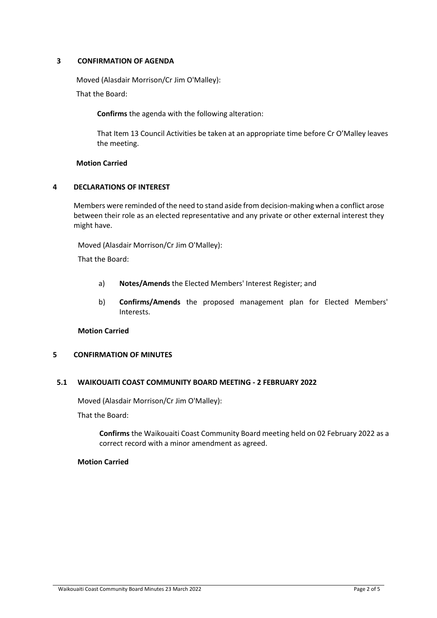# **3 CONFIRMATION OF AGENDA**

Moved (Alasdair Morrison/Cr Jim O'Malley):

That the Board:

**Confirms** the agenda with the following alteration:

That Item 13 Council Activities be taken at an appropriate time before Cr O'Malley leaves the meeting.

# **Motion Carried**

# **4 DECLARATIONS OF INTEREST**

Members were reminded of the need to stand aside from decision-making when a conflict arose between their role as an elected representative and any private or other external interest they might have.

Moved (Alasdair Morrison/Cr Jim O'Malley):

That the Board:

- a) **Notes/Amends** the Elected Members' Interest Register; and
- b) **Confirms/Amends** the proposed management plan for Elected Members' Interests.

## **Motion Carried**

# **5 CONFIRMATION OF MINUTES**

## **5.1 WAIKOUAITI COAST COMMUNITY BOARD MEETING - 2 FEBRUARY 2022**

Moved (Alasdair Morrison/Cr Jim O'Malley):

That the Board:

**Confirms** the Waikouaiti Coast Community Board meeting held on 02 February 2022 as a correct record with a minor amendment as agreed.

## **Motion Carried**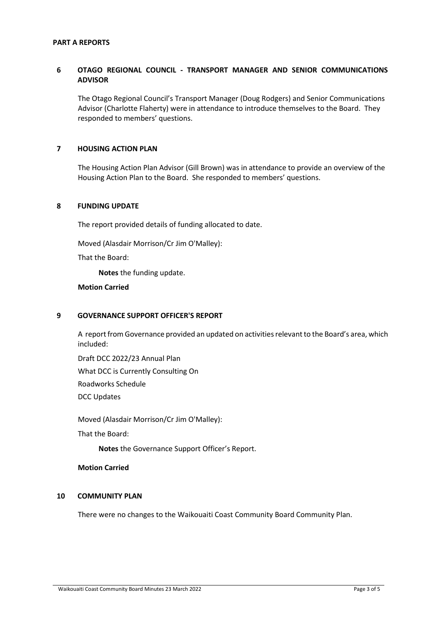#### **PART A REPORTS**

# **6 OTAGO REGIONAL COUNCIL - TRANSPORT MANAGER AND SENIOR COMMUNICATIONS ADVISOR**

The Otago Regional Council's Transport Manager (Doug Rodgers) and Senior Communications Advisor (Charlotte Flaherty) were in attendance to introduce themselves to the Board. They responded to members' questions.

### **7 HOUSING ACTION PLAN**

The Housing Action Plan Advisor (Gill Brown) was in attendance to provide an overview of the Housing Action Plan to the Board. She responded to members' questions.

#### **8 FUNDING UPDATE**

The report provided details of funding allocated to date.

Moved (Alasdair Morrison/Cr Jim O'Malley):

That the Board:

**Notes** the funding update.

## **Motion Carried**

## **9 GOVERNANCE SUPPORT OFFICER'S REPORT**

A report from Governance provided an updated on activities relevant to the Board's area, which included:

Draft DCC 2022/23 Annual Plan What DCC is Currently Consulting On Roadworks Schedule DCC Updates

Moved (Alasdair Morrison/Cr Jim O'Malley):

That the Board:

**Notes** the Governance Support Officer's Report.

**Motion Carried**

# **10 COMMUNITY PLAN**

There were no changes to the Waikouaiti Coast Community Board Community Plan.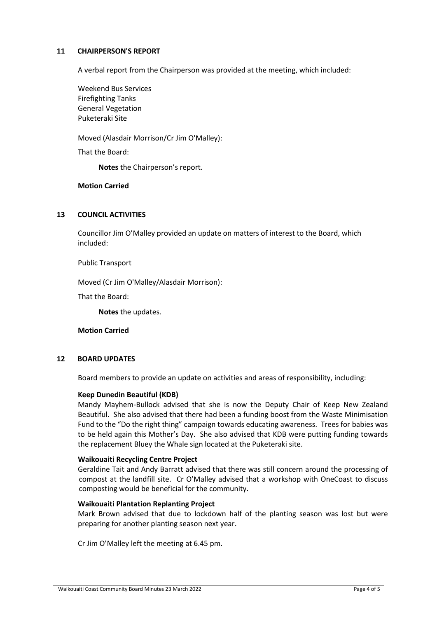## **11 CHAIRPERSON'S REPORT**

A verbal report from the Chairperson was provided at the meeting, which included:

Weekend Bus Services Firefighting Tanks General Vegetation Puketeraki Site

Moved (Alasdair Morrison/Cr Jim O'Malley):

That the Board:

**Notes** the Chairperson's report.

## **Motion Carried**

## **13 COUNCIL ACTIVITIES**

Councillor Jim O'Malley provided an update on matters of interest to the Board, which included:

Public Transport

Moved (Cr Jim O'Malley/Alasdair Morrison):

That the Board:

**Notes** the updates.

#### **Motion Carried**

### **12 BOARD UPDATES**

Board members to provide an update on activities and areas of responsibility, including:

#### **Keep Dunedin Beautiful (KDB)**

Mandy Mayhem-Bullock advised that she is now the Deputy Chair of Keep New Zealand Beautiful. She also advised that there had been a funding boost from the Waste Minimisation Fund to the "Do the right thing" campaign towards educating awareness. Trees for babies was to be held again this Mother's Day. She also advised that KDB were putting funding towards the replacement Bluey the Whale sign located at the Puketeraki site.

#### **Waikouaiti Recycling Centre Project**

Geraldine Tait and Andy Barratt advised that there was still concern around the processing of compost at the landfill site. Cr O'Malley advised that a workshop with OneCoast to discuss composting would be beneficial for the community.

#### **Waikouaiti Plantation Replanting Project**

Mark Brown advised that due to lockdown half of the planting season was lost but were preparing for another planting season next year.

Cr Jim O'Malley left the meeting at 6.45 pm.